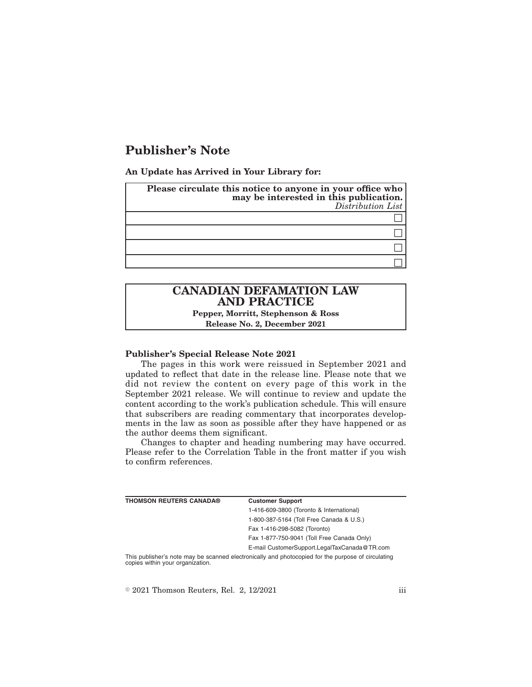# **Publisher's Note**

**An Update has Arrived in Your Library for:**

| Please circulate this notice to anyone in your office who<br>may be interested in this publication.<br>Distribution List |
|--------------------------------------------------------------------------------------------------------------------------|
|                                                                                                                          |
|                                                                                                                          |
|                                                                                                                          |
|                                                                                                                          |

## **CANADIAN DEFAMATION LAW AND PRACTICE**

**Pepper, Morritt, Stephenson & Ross Release No. 2, December 2021**

#### **Publisher's Special Release Note 2021**

The pages in this work were reissued in September 2021 and updated to reflect that date in the release line. Please note that we did not review the content on every page of this work in the September 2021 release. We will continue to review and update the content according to the work's publication schedule. This will ensure that subscribers are reading commentary that incorporates developments in the law as soon as possible after they have happened or as the author deems them significant.

Changes to chapter and heading numbering may have occurred. Please refer to the Correlation Table in the front matter if you wish to confirm references.

| <b>THOMSON REUTERS CANADA®</b>   | <b>Customer Support</b>                                                                            |
|----------------------------------|----------------------------------------------------------------------------------------------------|
|                                  | 1-416-609-3800 (Toronto & International)                                                           |
|                                  | 1-800-387-5164 (Toll Free Canada & U.S.)                                                           |
|                                  | Fax 1-416-298-5082 (Toronto)                                                                       |
|                                  | Fax 1-877-750-9041 (Toll Free Canada Only)                                                         |
|                                  | E-mail CustomerSupport.LegalTaxCanada@TR.com                                                       |
| copies within your organization. | This publisher's note may be scanned electronically and photocopied for the purpose of circulating |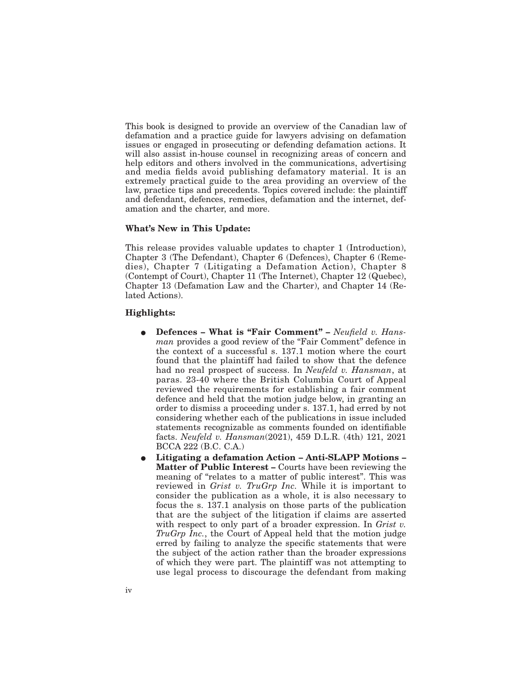This book is designed to provide an overview of the Canadian law of defamation and a practice guide for lawyers advising on defamation issues or engaged in prosecuting or defending defamation actions. It will also assist in-house counsel in recognizing areas of concern and help editors and others involved in the communications, advertising and media fields avoid publishing defamatory material. It is an extremely practical guide to the area providing an overview of the law, practice tips and precedents. Topics covered include: the plaintiff and defendant, defences, remedies, defamation and the internet, defamation and the charter, and more.

#### **What's New in This Update:**

This release provides valuable updates to chapter 1 (Introduction), Chapter 3 (The Defendant), Chapter 6 (Defences), Chapter 6 (Remedies), Chapter 7 (Litigating a Defamation Action), Chapter 8 (Contempt of Court), Chapter 11 (The Internet), Chapter 12 (Quebec), Chapter 13 (Defamation Law and the Charter), and Chapter 14 (Related Actions).

### **Highlights:**

- Defences What is "Fair Comment" *Neufield v. Hansman* provides a good review of the "Fair Comment" defence in the context of a successful s. 137.1 motion where the court found that the plaintiff had failed to show that the defence had no real prospect of success. In *Neufeld v. Hansman*, at paras. 23-40 where the British Columbia Court of Appeal reviewed the requirements for establishing a fair comment defence and held that the motion judge below, in granting an order to dismiss a proceeding under s. 137.1, had erred by not considering whether each of the publications in issue included statements recognizable as comments founded on identifiable facts. *Neufeld v. Hansman*(2021), 459 D.L.R. (4th) 121, 2021 BCCA 222 (B.C. C.A.)
- E **Litigating a defamation Action Anti-SLAPP Motions – Matter of Public Interest –** Courts have been reviewing the meaning of "relates to a matter of public interest". This was reviewed in *Grist v. TruGrp Inc.* While it is important to consider the publication as a whole, it is also necessary to focus the s. 137.1 analysis on those parts of the publication that are the subject of the litigation if claims are asserted with respect to only part of a broader expression. In *Grist v. TruGrp Inc.*, the Court of Appeal held that the motion judge erred by failing to analyze the specific statements that were the subject of the action rather than the broader expressions of which they were part. The plaintiff was not attempting to use legal process to discourage the defendant from making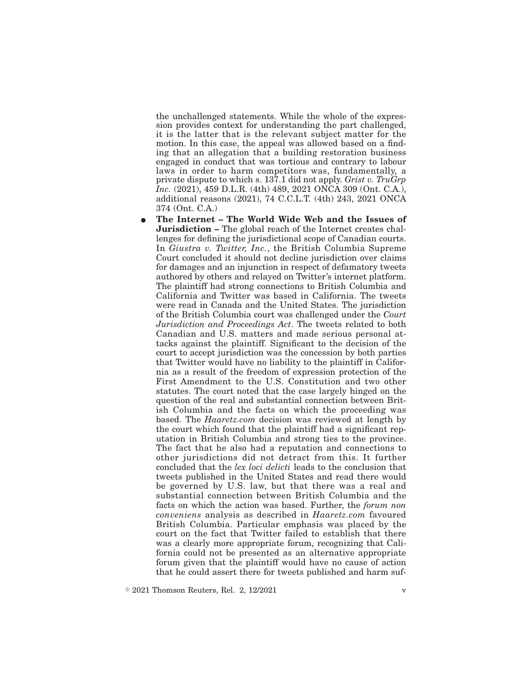the unchallenged statements. While the whole of the expression provides context for understanding the part challenged, it is the latter that is the relevant subject matter for the motion. In this case, the appeal was allowed based on a finding that an allegation that a building restoration business engaged in conduct that was tortious and contrary to labour laws in order to harm competitors was, fundamentally, a private dispute to which s. 137.1 did not apply. *Grist v. TruGrp Inc.* (2021), 459 D.L.R. (4th) 489, 2021 ONCA 309 (Ont. C.A.), additional reasons (2021), 74 C.C.L.T. (4th) 243, 2021 ONCA 374 (Ont. C.A.)

E **The Internet – The World Wide Web and the Issues of Jurisdiction –** The global reach of the Internet creates challenges for defining the jurisdictional scope of Canadian courts. In *Giustra v. Twitter, Inc.*, the British Columbia Supreme Court concluded it should not decline jurisdiction over claims for damages and an injunction in respect of defamatory tweets authored by others and relayed on Twitter's internet platform. The plaintiff had strong connections to British Columbia and California and Twitter was based in California. The tweets were read in Canada and the United States. The jurisdiction of the British Columbia court was challenged under the *Court Jurisdiction and Proceedings Act*. The tweets related to both Canadian and U.S. matters and made serious personal attacks against the plaintiff. Significant to the decision of the court to accept jurisdiction was the concession by both parties that Twitter would have no liability to the plaintiff in California as a result of the freedom of expression protection of the First Amendment to the U.S. Constitution and two other statutes. The court noted that the case largely hinged on the question of the real and substantial connection between British Columbia and the facts on which the proceeding was based. The *Haaretz.com* decision was reviewed at length by the court which found that the plaintiff had a significant reputation in British Columbia and strong ties to the province. The fact that he also had a reputation and connections to other jurisdictions did not detract from this. It further concluded that the *lex loci delicti* leads to the conclusion that tweets published in the United States and read there would be governed by U.S. law, but that there was a real and substantial connection between British Columbia and the facts on which the action was based. Further, the *forum non conveniens* analysis as described in *Haaretz.com* favoured British Columbia. Particular emphasis was placed by the court on the fact that Twitter failed to establish that there was a clearly more appropriate forum, recognizing that California could not be presented as an alternative appropriate forum given that the plaintiff would have no cause of action that he could assert there for tweets published and harm suf-

 $\textdegree$  2021 Thomson Reuters, Rel. 2, 12/2021 v